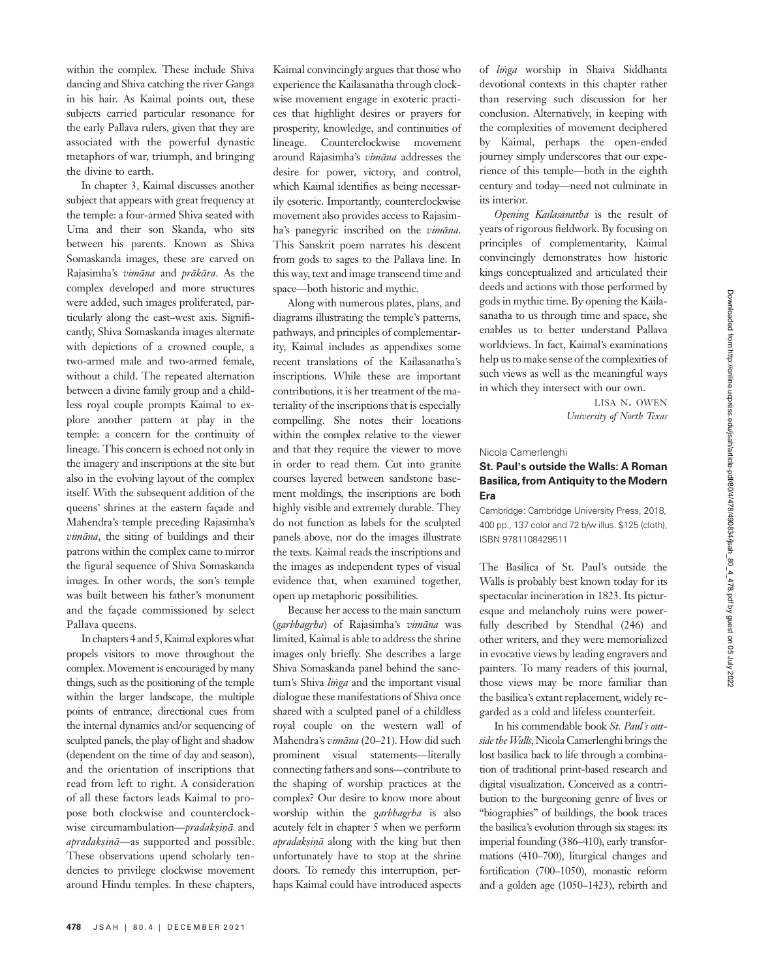within the complex. These include Shiva dancing and Shiva catching the river Ganga in his hair. As Kaimal points out, these subjects carried particular resonance for the early Pallava rulers, given that they are associated with the powerful dynastic metaphors of war, triumph, and bringing the divine to earth.

In chapter 3, Kaimal discusses another subject that appears with great frequency at the temple: a four-armed Shiva seated with Uma and their son Skanda, who sits between his parents. Known as Shiva Somaskanda images, these are carved on Rajasimha's vimāna and prākāra. As the complex developed and more structures were added, such images proliferated, particularly along the east–west axis. Significantly, Shiva Somaskanda images alternate with depictions of a crowned couple, a two-armed male and two-armed female, without a child. The repeated alternation between a divine family group and a childless royal couple prompts Kaimal to explore another pattern at play in the temple: a concern for the continuity of lineage. This concern is echoed not only in the imagery and inscriptions at the site but also in the evolving layout of the complex itself. With the subsequent addition of the queens' shrines at the eastern façade and Mahendra's temple preceding Rajasimha's vimāna, the siting of buildings and their patrons within the complex came to mirror the figural sequence of Shiva Somaskanda images. In other words, the son's temple was built between his father's monument and the façade commissioned by select Pallava queens.

In chapters 4 and 5, Kaimal explores what propels visitors to move throughout the complex. Movement is encouraged by many things, such as the positioning of the temple within the larger landscape, the multiple points of entrance, directional cues from the internal dynamics and/or sequencing of sculpted panels, the play of light and shadow (dependent on the time of day and season), and the orientation of inscriptions that read from left to right. A consideration of all these factors leads Kaimal to propose both clockwise and counterclockwise circumambulation—*pradakṣiṇā* and apradakṣiṇā-as supported and possible. These observations upend scholarly tendencies to privilege clockwise movement around Hindu temples. In these chapters,

Kaimal convincingly argues that those who experience the Kailasanatha through clockwise movement engage in exoteric practices that highlight desires or prayers for prosperity, knowledge, and continuities of lineage. Counterclockwise movement around Rajasimha's vimāna addresses the desire for power, victory, and control, which Kaimal identifies as being necessarily esoteric. Importantly, counterclockwise movement also provides access to Rajasimha's panegyric inscribed on the vimāna. This Sanskrit poem narrates his descent from gods to sages to the Pallava line. In this way, text and image transcend time and space—both historic and mythic.

Along with numerous plates, plans, and diagrams illustrating the temple's patterns, pathways, and principles of complementarity, Kaimal includes as appendixes some recent translations of the Kailasanatha's inscriptions. While these are important contributions, it is her treatment of the materiality of the inscriptions that is especially compelling. She notes their locations within the complex relative to the viewer and that they require the viewer to move in order to read them. Cut into granite courses layered between sandstone basement moldings, the inscriptions are both highly visible and extremely durable. They do not function as labels for the sculpted panels above, nor do the images illustrate the texts. Kaimal reads the inscriptions and the images as independent types of visual evidence that, when examined together, open up metaphoric possibilities.

Because her access to the main sanctum (garbhagṛha) of Rajasimha's vimāna was limited, Kaimal is able to address the shrine images only briefly. She describes a large Shiva Somaskanda panel behind the sanctum's Shiva linga and the important visual dialogue these manifestations of Shiva once shared with a sculpted panel of a childless royal couple on the western wall of Mahendra's vimāna (20–21). How did such prominent visual statements—literally connecting fathers and sons—contribute to the shaping of worship practices at the complex? Our desire to know more about worship within the *garbhagrha* is also acutely felt in chapter 5 when we perform apradakṣiṇā along with the king but then unfortunately have to stop at the shrine doors. To remedy this interruption, perhaps Kaimal could have introduced aspects

of liṅga worship in Shaiva Siddhanta devotional contexts in this chapter rather than reserving such discussion for her conclusion. Alternatively, in keeping with the complexities of movement deciphered by Kaimal, perhaps the open-ended journey simply underscores that our experience of this temple—both in the eighth century and today—need not culminate in its interior.

Opening Kailasanatha is the result of years of rigorous fieldwork. By focusing on principles of complementarity, Kaimal convincingly demonstrates how historic kings conceptualized and articulated their deeds and actions with those performed by gods in mythic time. By opening the Kailasanatha to us through time and space, she enables us to better understand Pallava worldviews. In fact, Kaimal's examinations help us to make sense of the complexities of such views as well as the meaningful ways in which they intersect with our own.

> LISA N. OWEN University of North Texas

#### Nicola Camerlenghi

# St. Paul's outside the Walls: A Roman Basilica, from Antiquity to the Modern Era

Cambridge: Cambridge University Press, 2018, 400 pp., 137 color and 72 b/w illus. \$125 (cloth), ISBN 9781108429511

The Basilica of St. Paul's outside the Walls is probably best known today for its spectacular incineration in 1823. Its picturesque and melancholy ruins were powerfully described by Stendhal (246) and other writers, and they were memorialized in evocative views by leading engravers and painters. To many readers of this journal, those views may be more familiar than the basilica's extant replacement, widely regarded as a cold and lifeless counterfeit.

In his commendable book St. Paul's outside the Walls, Nicola Camerlenghi brings the lost basilica back to life through a combination of traditional print-based research and digital visualization. Conceived as a contribution to the burgeoning genre of lives or "biographies" of buildings, the book traces the basilica's evolution through six stages: its imperial founding (386–410), early transformations (410–700), liturgical changes and fortification (700–1050), monastic reform and a golden age (1050–1423), rebirth and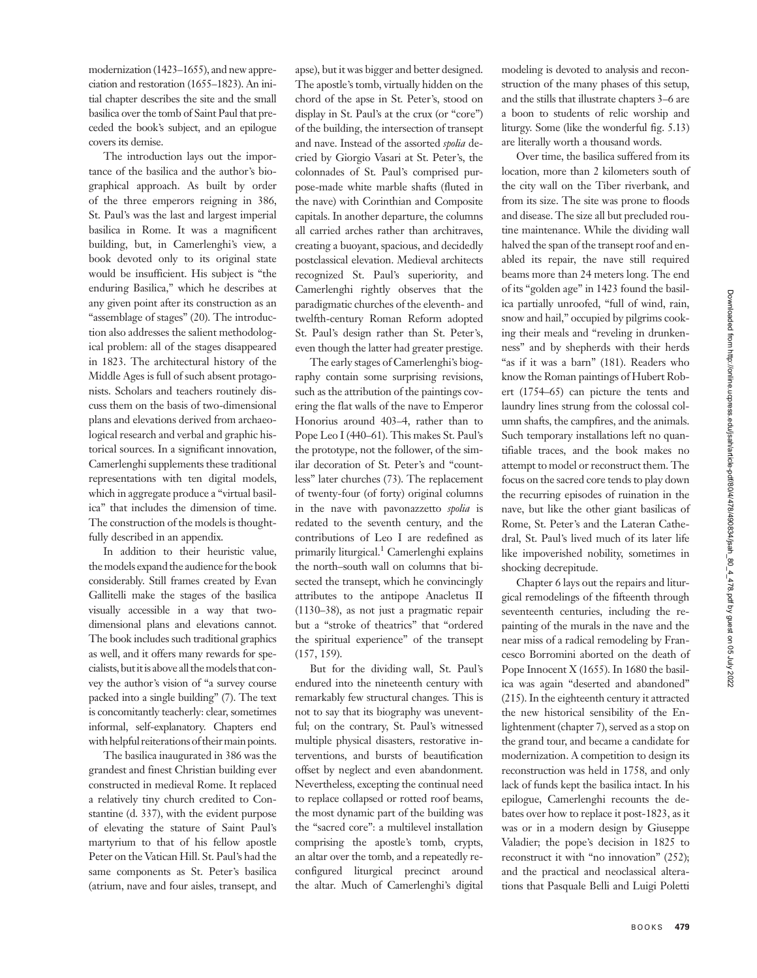modernization (1423–1655), and new appreciation and restoration (1655–1823). An initial chapter describes the site and the small basilica over the tomb of Saint Paul that preceded the book's subject, and an epilogue covers its demise.

The introduction lays out the importance of the basilica and the author's biographical approach. As built by order of the three emperors reigning in 386, St. Paul's was the last and largest imperial basilica in Rome. It was a magnificent building, but, in Camerlenghi's view, a book devoted only to its original state would be insufficient. His subject is "the enduring Basilica," which he describes at any given point after its construction as an "assemblage of stages" (20). The introduction also addresses the salient methodological problem: all of the stages disappeared in 1823. The architectural history of the Middle Ages is full of such absent protagonists. Scholars and teachers routinely discuss them on the basis of two-dimensional plans and elevations derived from archaeological research and verbal and graphic historical sources. In a significant innovation, Camerlenghi supplements these traditional representations with ten digital models, which in aggregate produce a "virtual basilica" that includes the dimension of time. The construction of the models is thoughtfully described in an appendix.

In addition to their heuristic value, the models expand the audience for the book considerably. Still frames created by Evan Gallitelli make the stages of the basilica visually accessible in a way that twodimensional plans and elevations cannot. The book includes such traditional graphics as well, and it offers many rewards for specialists, butitis above all themodels that convey the author's vision of "a survey course packed into a single building" (7). The text is concomitantly teacherly: clear, sometimes informal, self-explanatory. Chapters end with helpful reiterations of their main points.

The basilica inaugurated in 386 was the grandest and finest Christian building ever constructed in medieval Rome. It replaced a relatively tiny church credited to Constantine (d. 337), with the evident purpose of elevating the stature of Saint Paul's martyrium to that of his fellow apostle Peter on the Vatican Hill. St. Paul's had the same components as St. Peter's basilica (atrium, nave and four aisles, transept, and

apse), but it was bigger and better designed. The apostle's tomb, virtually hidden on the chord of the apse in St. Peter's, stood on display in St. Paul's at the crux (or "core") of the building, the intersection of transept and nave. Instead of the assorted spolia decried by Giorgio Vasari at St. Peter's, the colonnades of St. Paul's comprised purpose-made white marble shafts (fluted in the nave) with Corinthian and Composite capitals. In another departure, the columns all carried arches rather than architraves, creating a buoyant, spacious, and decidedly postclassical elevation. Medieval architects recognized St. Paul's superiority, and Camerlenghi rightly observes that the paradigmatic churches of the eleventh- and twelfth-century Roman Reform adopted St. Paul's design rather than St. Peter's, even though the latter had greater prestige.

The early stages of Camerlenghi's biography contain some surprising revisions, such as the attribution of the paintings covering the flat walls of the nave to Emperor Honorius around 403–4, rather than to Pope Leo I (440–61). This makes St. Paul's the prototype, not the follower, of the similar decoration of St. Peter's and "countless" later churches (73). The replacement of twenty-four (of forty) original columns in the nave with pavonazzetto spolia is redated to the seventh century, and the contributions of Leo I are redefined as primarily liturgical.<sup>1</sup> Camerlenghi explains the north–south wall on columns that bisected the transept, which he convincingly attributes to the antipope Anacletus II (1130–38), as not just a pragmatic repair but a "stroke of theatrics" that "ordered the spiritual experience" of the transept (157, 159).

But for the dividing wall, St. Paul's endured into the nineteenth century with remarkably few structural changes. This is not to say that its biography was uneventful; on the contrary, St. Paul's witnessed multiple physical disasters, restorative interventions, and bursts of beautification offset by neglect and even abandonment. Nevertheless, excepting the continual need to replace collapsed or rotted roof beams, the most dynamic part of the building was the "sacred core": a multilevel installation comprising the apostle's tomb, crypts, an altar over the tomb, and a repeatedly reconfigured liturgical precinct around the altar. Much of Camerlenghi's digital modeling is devoted to analysis and reconstruction of the many phases of this setup, and the stills that illustrate chapters 3–6 are a boon to students of relic worship and liturgy. Some (like the wonderful fig. 5.13) are literally worth a thousand words.

Over time, the basilica suffered from its location, more than 2 kilometers south of the city wall on the Tiber riverbank, and from its size. The site was prone to floods and disease. The size all but precluded routine maintenance. While the dividing wall halved the span of the transept roof and enabled its repair, the nave still required beams more than 24 meters long. The end of its "golden age" in 1423 found the basilica partially unroofed, "full of wind, rain, snow and hail," occupied by pilgrims cooking their meals and "reveling in drunkenness" and by shepherds with their herds "as if it was a barn" (181). Readers who know the Roman paintings of Hubert Robert (1754–65) can picture the tents and laundry lines strung from the colossal column shafts, the campfires, and the animals. Such temporary installations left no quantifiable traces, and the book makes no attempt to model or reconstruct them. The focus on the sacred core tends to play down the recurring episodes of ruination in the nave, but like the other giant basilicas of Rome, St. Peter's and the Lateran Cathedral, St. Paul's lived much of its later life like impoverished nobility, sometimes in shocking decrepitude.

Chapter 6 lays out the repairs and liturgical remodelings of the fifteenth through seventeenth centuries, including the repainting of the murals in the nave and the near miss of a radical remodeling by Francesco Borromini aborted on the death of Pope Innocent X (1655). In 1680 the basilica was again "deserted and abandoned" (215). In the eighteenth century it attracted the new historical sensibility of the Enlightenment (chapter 7), served as a stop on the grand tour, and became a candidate for modernization. A competition to design its reconstruction was held in 1758, and only lack of funds kept the basilica intact. In his epilogue, Camerlenghi recounts the debates over how to replace it post-1823, as it was or in a modern design by Giuseppe Valadier; the pope's decision in 1825 to reconstruct it with "no innovation" (252); and the practical and neoclassical alterations that Pasquale Belli and Luigi Poletti